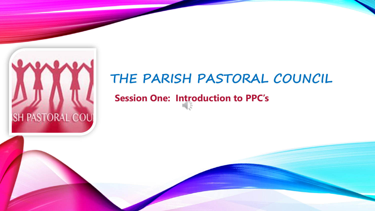

## **THE PARISH PASTORAL COUNCIL**

### **Session One: Introduction to PPC's**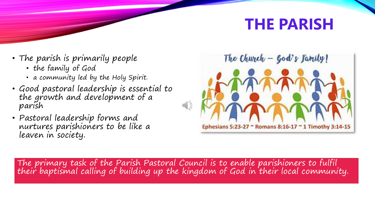# **THE PARISH**

- The parish is primarily people
	- the family of God
	- a community led by the Holy Spirit.
- Good pastoral leadership is essential to the growth and development of a parish
- Pastoral leadership forms and nurtures parishioners to be like a leaven in society.



The primary task of the Parish Pastoral Council is to enable parishioners to fulfil their baptismal calling of building up the kingdom of God in their local community.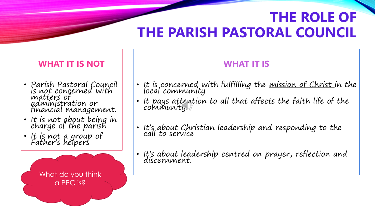## **THE ROLE OF THE PARISH PASTORAL COUNCIL**

#### **WHAT IT IS NOT**

- Parish Pastoral Council is <u>not</u> concerned with<br>matters of administration or financial management.
- It is not about being in charge of the parish
- It is not a group of Father's helpers

What do you think a PPC is?

### **WHAT IT IS**

- It is concerned with fulfilling the <u>mission of Christ i</u>n the local community
- It pays attention to all that affects the faith life of the community.
- It's about Christian leadership and responding to the call to service
- It's about leadership centred on prayer, reflection and discernment.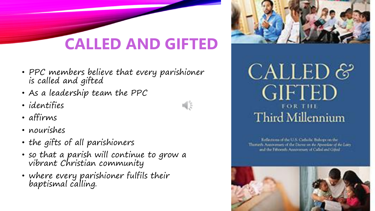# **CALLED AND GIFTED**

- PPC members believe that every parishioner is called and gifted
- As a leadership team the PPC
- identifies
- affirms
- nourishes
- the gifts of all parishioners
- so that a parish will continue to grow a vibrant Christian community
- where every parishioner fulfils their baptismal calling.





Reflections of the U.S. Catholic Bulege on the Thirtuch Anniversity of the Doros on the Approxime of the Lairy and the Febrewitz Atensympary of Called and Grited

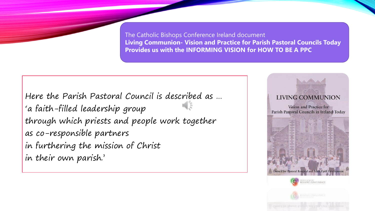The Catholic Bishops Conference Ireland document **Living Communion- Vision and Practice for Parish Pastoral Councils Today Provides us with the INFORMING VISION for HOW TO BE A PPC** 

Here the Parish Pastoral Council is described as … 'a faith-filled leadership group through which priests and people work together as co-responsible partners in furthering the mission of Christ in their own parish.'